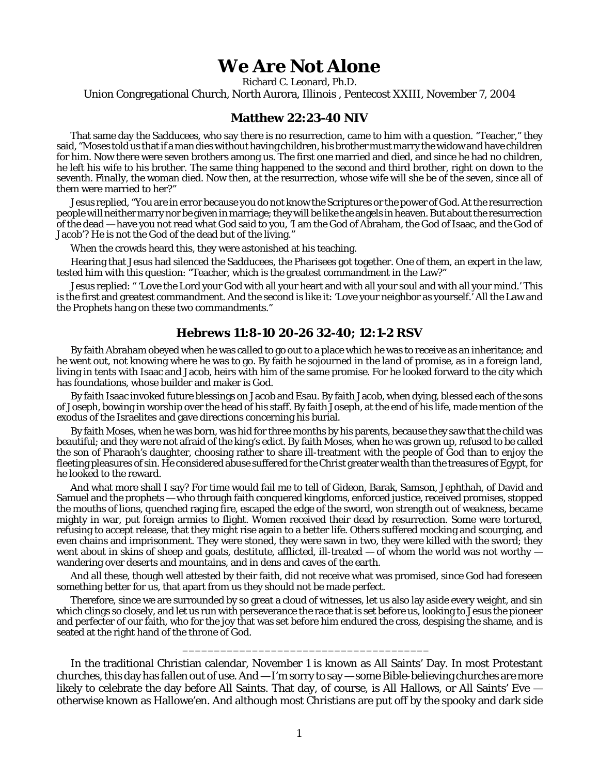## **We Are Not Alone**

Richard C. Leonard, Ph.D.

Union Congregational Church, North Aurora, Illinois , Pentecost XXIII, November 7, 2004

## **Matthew 22:23-40 NIV**

That same day the Sadducees, who say there is no resurrection, came to him with a question. "Teacher," they said, "Moses told us that if a man dies without having children, his brother must marry the widow and have children for him. Now there were seven brothers among us. The first one married and died, and since he had no children, he left his wife to his brother. The same thing happened to the second and third brother, right on down to the seventh. Finally, the woman died. Now then, at the resurrection, whose wife will she be of the seven, since all of them were married to her?"

Jesus replied, "You are in error because you do not know the Scriptures or the power of God. At the resurrection people will neither marry nor be given in marriage; they will be like the angels in heaven. But about the resurrection of the dead — have you not read what God said to you, 'I am the God of Abraham, the God of Isaac, and the God of Jacob'? He is not the God of the dead but of the living."

When the crowds heard this, they were astonished at his teaching.

Hearing that Jesus had silenced the Sadducees, the Pharisees got together. One of them, an expert in the law, tested him with this question: "Teacher, which is the greatest commandment in the Law?"

Jesus replied: " 'Love the Lord your God with all your heart and with all your soul and with all your mind.' This is the first and greatest commandment. And the second is like it: 'Love your neighbor as yourself.' All the Law and the Prophets hang on these two commandments."

## **Hebrews 11:8-10 20-26 32-40; 12:1-2 RSV**

By faith Abraham obeyed when he was called to go out to a place which he was to receive as an inheritance; and he went out, not knowing where he was to go. By faith he sojourned in the land of promise, as in a foreign land, living in tents with Isaac and Jacob, heirs with him of the same promise. For he looked forward to the city which has foundations, whose builder and maker is God.

By faith Isaac invoked future blessings on Jacob and Esau. By faith Jacob, when dying, blessed each of the sons of Joseph, bowing in worship over the head of his staff. By faith Joseph, at the end of his life, made mention of the exodus of the Israelites and gave directions concerning his burial.

By faith Moses, when he was born, was hid for three months by his parents, because they saw that the child was beautiful; and they were not afraid of the king's edict. By faith Moses, when he was grown up, refused to be called the son of Pharaoh's daughter, choosing rather to share ill-treatment with the people of God than to enjoy the fleeting pleasures of sin. He considered abuse suffered for the Christ greater wealth than the treasures of Egypt, for he looked to the reward.

And what more shall I say? For time would fail me to tell of Gideon, Barak, Samson, Jephthah, of David and Samuel and the prophets — who through faith conquered kingdoms, enforced justice, received promises, stopped the mouths of lions, quenched raging fire, escaped the edge of the sword, won strength out of weakness, became mighty in war, put foreign armies to flight. Women received their dead by resurrection. Some were tortured, refusing to accept release, that they might rise again to a better life. Others suffered mocking and scourging, and even chains and imprisonment. They were stoned, they were sawn in two, they were killed with the sword; they went about in skins of sheep and goats, destitute, afflicted, ill-treated — of whom the world was not worthy wandering over deserts and mountains, and in dens and caves of the earth.

And all these, though well attested by their faith, did not receive what was promised, since God had foreseen something better for us, that apart from us they should not be made perfect.

Therefore, since we are surrounded by so great a cloud of witnesses, let us also lay aside every weight, and sin which clings so closely, and let us run with perseverance the race that is set before us, looking to Jesus the pioneer and perfecter of our faith, who for the joy that was set before him endured the cross, despising the shame, and is seated at the right hand of the throne of God.

\_\_\_\_\_\_\_\_\_\_\_\_\_\_\_\_\_\_\_\_\_\_\_\_\_\_\_\_\_\_\_\_\_\_\_\_\_\_\_

In the traditional Christian calendar, November 1 is known as All Saints' Day. In most Protestant churches, this day has fallen out of use. And — I'm sorry to say — some Bible-believing churches are more likely to celebrate the day *before* All Saints. That day, of course, is All Hallows, or All Saints' Eve otherwise known as Hallowe'en. And although most Christians are put off by the spooky and dark side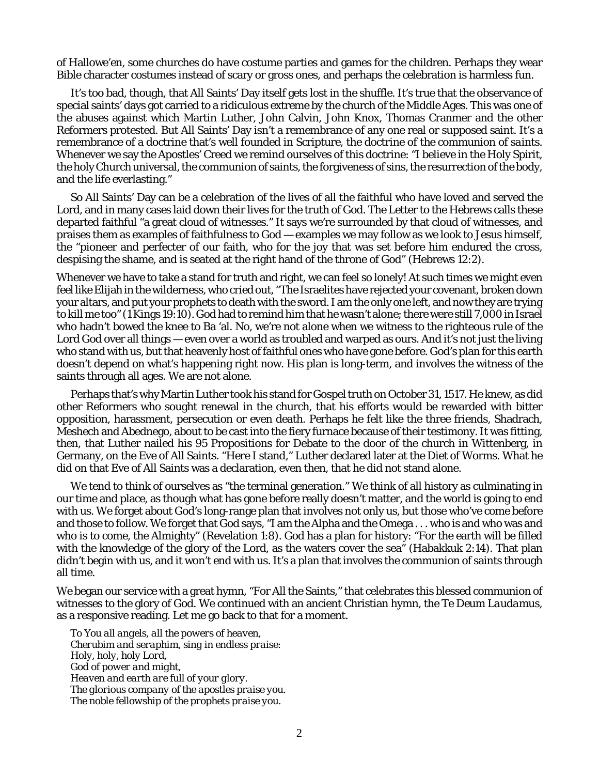of Hallowe'en, some churches do have costume parties and games for the children. Perhaps they wear Bible character costumes instead of scary or gross ones, and perhaps the celebration is harmless fun.

It's too bad, though, that All Saints' Day itself gets lost in the shuffle. It's true that the observance of special saints' days got carried to a ridiculous extreme by the church of the Middle Ages. This was one of the abuses against which Martin Luther, John Calvin, John Knox, Thomas Cranmer and the other Reformers protested. But All Saints' Day isn't a remembrance of any one real or supposed saint. It's a remembrance of a doctrine that's well founded in Scripture, the doctrine of *the communion of saints*. Whenever we say the Apostles' Creed we remind ourselves of this doctrine: "I believe in the Holy Spirit, the holy Church universal, the communion of saints, the forgiveness of sins, the resurrection of the body, and the life everlasting."

So All Saints' Day can be a celebration of the lives of all the faithful who have loved and served the Lord, and in many cases laid down their lives for the truth of God. The Letter to the Hebrews calls these departed faithful "a great cloud of witnesses." It says we're surrounded by that cloud of witnesses, and praises them as examples of faithfulness to God — examples we may follow as we look to Jesus himself, the "pioneer and perfecter of our faith, who for the joy that was set before him endured the cross, despising the shame, and is seated at the right hand of the throne of God" (Hebrews 12:2).

Whenever we have to take a stand for truth and right, we can feel so lonely! At such times we might even feel like Elijah in the wilderness, who cried out, "The Israelites have rejected your covenant, broken down your altars, and put your prophets to death with the sword. I am the only one left, and now they are trying to kill me too" (1 Kings 19:10). God had to remind him that he wasn't alone; there were still 7,000 in Israel who hadn't bowed the knee to Ba 'al. No, we're not alone when we witness to the righteous rule of the Lord God over all things — even over a world as troubled and warped as ours. And it's not just the living who stand with us, but that heavenly host of faithful ones who have gone before. God's plan for this earth doesn't depend on what's happening right now. His plan is long-term, and involves the witness of the saints through all ages. We are not alone.

Perhaps that's why Martin Luther took his stand for Gospel truth on October 31, 1517. He knew, as did other Reformers who sought renewal in the church, that his efforts would be rewarded with bitter opposition, harassment, persecution or even death. Perhaps he felt like the three friends, Shadrach, Meshech and Abednego, about to be cast into the fiery furnace because of their testimony. It was fitting, then, that Luther nailed his 95 Propositions for Debate to the door of the church in Wittenberg, in Germany, on the Eve of All Saints. "Here I stand," Luther declared later at the Diet of Worms. What he did on that Eve of All Saints was a declaration, even then, that he did not stand alone.

We tend to think of ourselves as "the terminal generation." We think of all history as culminating in our time and place, as though what has gone before really doesn't matter, and the world is going to end with us. We forget about God's long-range plan that involves not only us, but those who've come before and those to follow. We forget that God says, "I am the Alpha and the Omega . . . who is and who was and who is to come, the Almighty" (Revelation 1:8). God has a plan for history: "For the earth will be filled with the knowledge of the glory of the Lord, as the waters cover the sea" (Habakkuk 2:14). That plan didn't begin with us, and it won't end with us. It's a plan that involves the communion of saints through all time.

We began our service with a great hymn, "For All the Saints," that celebrates this blessed communion of witnesses to the glory of God. We continued with an ancient Christian hymn, the *Te Deum Laudamus*, as a responsive reading. Let me go back to that for a moment.

*To You all angels, all the powers of heaven, Cherubim and seraphim, sing in endless praise: Holy, holy, holy Lord, God of power and might, Heaven and earth are full of your glory. The glorious company of the apostles praise you. The noble fellowship of the prophets praise you.*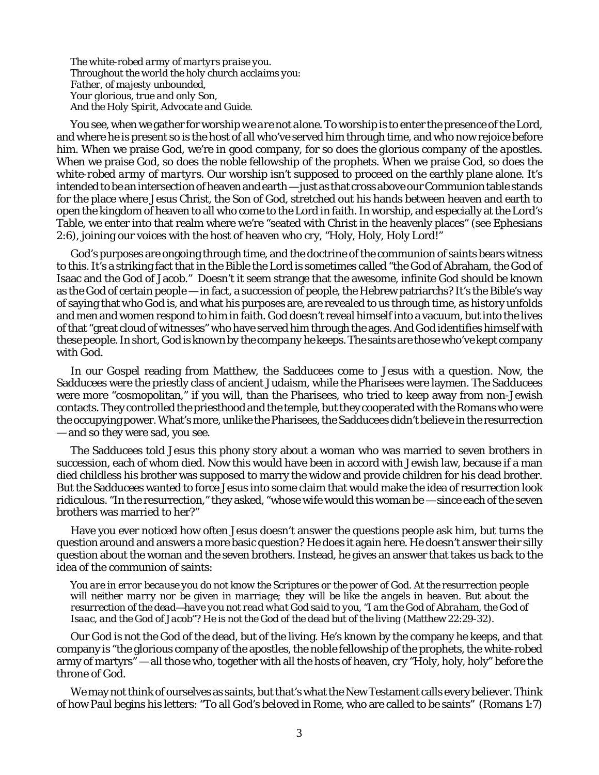*The white-robed army of martyrs praise you. Throughout the world the holy church acclaims you: Father, of majesty unbounded, Your glorious, true and only Son, And the Holy Spirit, Advocate and Guide.*

You see, when we gather for worship *we are not alone*. To worship is to enter the presence of the Lord, and where he is present so is the host of all who've served him through time, and who now rejoice before him. When we praise God, we're in good company, for so does *the glorious company of the apostles.* When we praise God, so does *the noble fellowship of the prophets.* When we praise God, so does *the white-robed army of martyrs.* Our worship isn't supposed to proceed on the earthly plane alone. It's intended to be an intersection of heaven and earth — just as that cross above our Communion table stands for the place where Jesus Christ, the Son of God, stretched out his hands between heaven and earth to open the kingdom of heaven to all who come to the Lord in faith. In worship, and especially at the Lord's Table, we enter into that realm where we're "seated with Christ in the heavenly places" (see Ephesians 2:6), joining our voices with the host of heaven who cry, "Holy, Holy, Holy Lord!"

God's purposes are ongoing through time, and the doctrine of the communion of saints bears witness to this. It's a striking fact that in the Bible the Lord is sometimes called "the God of Abraham, the God of Isaac and the God of Jacob." Doesn't it seem strange that the awesome, infinite God should be known as the God of certain people — in fact, a succession of people, the Hebrew patriarchs? It's the Bible's way of saying that *who God is*, and what his purposes are, are revealed to us through time, as history unfolds and men and women respond to him in faith. God doesn't reveal himself into a vacuum, but into the lives of that "great cloud of witnesses" who have served him through the ages. And God identifies himself with these people. In short, *God is known by the company he keeps.* The saints are those who've kept company with God.

In our Gospel reading from Matthew, the Sadducees come to Jesus with a question. Now, the Sadducees were the priestly class of ancient Judaism, while the Pharisees were laymen. The Sadducees were more "cosmopolitan," if you will, than the Pharisees, who tried to keep away from non-Jewish contacts. They controlled the priesthood and the temple, but they cooperated with the Romans who were the occupying power. What's more, unlike the Pharisees, the Sadducees didn't believe in the resurrection — and so they were sad, you see.

The Sadducees told Jesus this phony story about a woman who was married to seven brothers in succession, each of whom died. Now this would have been in accord with Jewish law, because if a man died childless his brother was supposed to marry the widow and provide children for his dead brother. But the Sadducees wanted to force Jesus into some claim that would make the idea of resurrection look ridiculous. "In the resurrection," they asked, "whose wife would this woman be — since each of the seven brothers was married to her?"

Have you ever noticed how often Jesus doesn't answer the questions people ask him, but turns the question around and answers a more basic question? He does it again here. He doesn't answer their silly question about the woman and the seven brothers. Instead, he gives an answer that takes us back to the idea of the communion of saints:

*You are in error because you do not know the Scriptures or the power of God. At the resurrection people will neither marry nor be given in marriage; they will be like the angels in heaven. But about the resurrection of the dead—have you not read what God said to you, "I am the God of Abraham, the God of Isaac, and the God of Jacob"? He is not the God of the dead but of the living* (Matthew 22:29-32).

Our God is not the God of the dead, but of the living. He's known by the company he keeps, and that company is "the glorious company of the apostles, the noble fellowship of the prophets, the white-robed army of martyrs" — all those who, together with all the hosts of heaven, cry "Holy, holy, holy" before the throne of God.

We may not think of ourselves as saints, but that's what the New Testament calls every believer. Think of how Paul begins his letters: "To all God's beloved in Rome, who are called to be saints" (Romans 1:7)